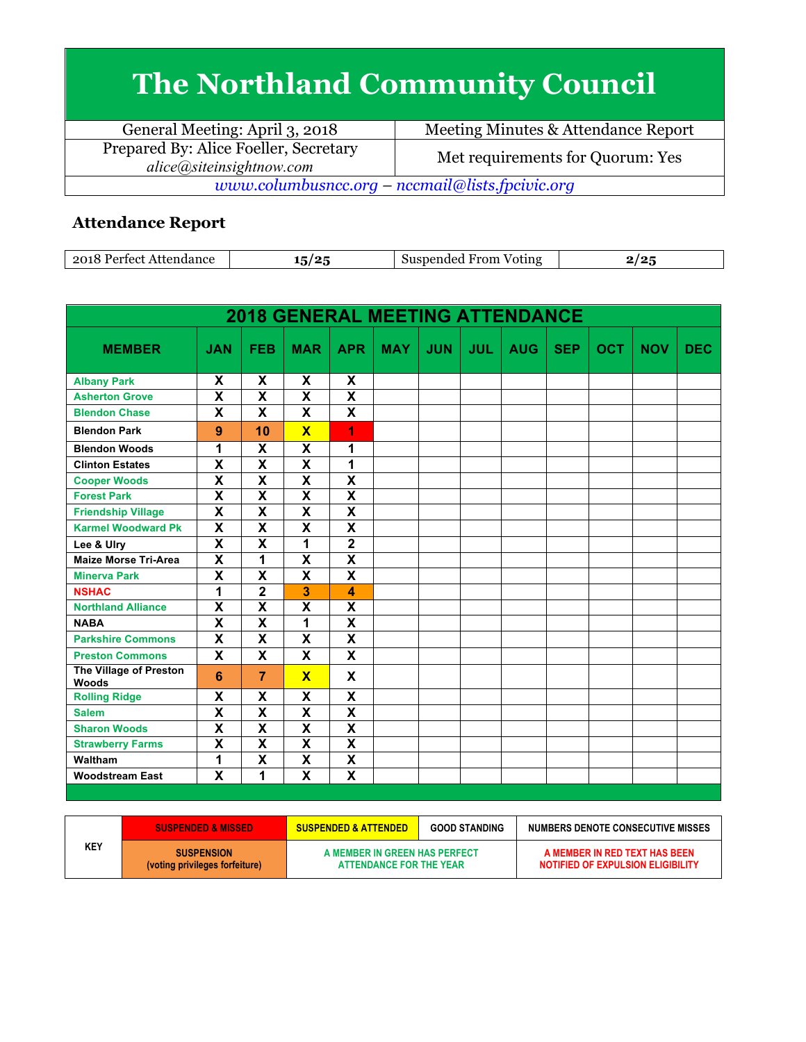## **The Northland Community Council**

| General Meeting: April 3, 2018                                    | Meeting Minutes & Attendance Report |  |  |  |
|-------------------------------------------------------------------|-------------------------------------|--|--|--|
| Prepared By: Alice Foeller, Secretary<br>alice@siteinsightnow.com | Met requirements for Quorum: Yes    |  |  |  |
| www.columbusncc.org – nccmail@lists.fpcivic.org                   |                                     |  |  |  |
|                                                                   |                                     |  |  |  |

## **Attendance Report**

| Attendance<br>-2018<br>Pertect | م م<br>. . | From<br>Voting<br>"<br>nded<br>-111<br>ner | $\sim$ |
|--------------------------------|------------|--------------------------------------------|--------|
|--------------------------------|------------|--------------------------------------------|--------|

| <b>2018 GENERAL MEETING ATTENDANCE</b> |                           |                           |                           |                         |            |            |            |            |            |            |            |            |
|----------------------------------------|---------------------------|---------------------------|---------------------------|-------------------------|------------|------------|------------|------------|------------|------------|------------|------------|
| <b>MEMBER</b>                          | <b>JAN</b>                | <b>FEB</b>                | <b>MAR</b>                | <b>APR</b>              | <b>MAY</b> | <b>JUN</b> | <b>JUL</b> | <b>AUG</b> | <b>SEP</b> | <b>OCT</b> | <b>NOV</b> | <b>DEC</b> |
| <b>Albany Park</b>                     | X                         | X                         | X                         | X                       |            |            |            |            |            |            |            |            |
| <b>Asherton Grove</b>                  | $\overline{\mathbf{x}}$   | X                         | $\overline{\mathbf{x}}$   | $\overline{\mathbf{X}}$ |            |            |            |            |            |            |            |            |
| <b>Blendon Chase</b>                   | $\mathsf{x}$              | $\mathbf x$               | $\mathbf x$               | X                       |            |            |            |            |            |            |            |            |
| <b>Blendon Park</b>                    | 9                         | 10                        | $\overline{\mathbf{x}}$   | 1                       |            |            |            |            |            |            |            |            |
| <b>Blendon Woods</b>                   | 1                         | X                         | X                         | 1                       |            |            |            |            |            |            |            |            |
| <b>Clinton Estates</b>                 | $\overline{\mathbf{x}}$   | $\overline{\mathbf{x}}$   | $\overline{\mathbf{x}}$   | 1                       |            |            |            |            |            |            |            |            |
| <b>Cooper Woods</b>                    | $\overline{\mathbf{x}}$   | $\overline{\mathbf{x}}$   | $\overline{\mathbf{x}}$   | $\overline{\mathsf{x}}$ |            |            |            |            |            |            |            |            |
| <b>Forest Park</b>                     | X                         | $\overline{\mathbf{x}}$   | $\overline{\mathbf{x}}$   | $\overline{\mathbf{X}}$ |            |            |            |            |            |            |            |            |
| <b>Friendship Village</b>              | $\overline{\mathbf{x}}$   | X                         | $\overline{\mathbf{x}}$   | $\overline{\mathbf{X}}$ |            |            |            |            |            |            |            |            |
| <b>Karmel Woodward Pk</b>              | X                         | X                         | X                         | $\overline{\mathsf{x}}$ |            |            |            |            |            |            |            |            |
| Lee & Ulry                             | $\overline{\mathbf{x}}$   | $\overline{\mathbf{x}}$   | 1                         | $\overline{\mathbf{2}}$ |            |            |            |            |            |            |            |            |
| <b>Maize Morse Tri-Area</b>            | $\overline{\mathbf{x}}$   | 1                         | X                         | $\overline{\textbf{x}}$ |            |            |            |            |            |            |            |            |
| <b>Minerva Park</b>                    | $\overline{\mathbf{x}}$   | $\overline{\mathbf{x}}$   | $\overline{\mathbf{x}}$   | $\overline{\textsf{x}}$ |            |            |            |            |            |            |            |            |
| <b>NSHAC</b>                           | 1                         | $\overline{\mathbf{2}}$   | 3                         | 4                       |            |            |            |            |            |            |            |            |
| <b>Northland Alliance</b>              | X                         | $\boldsymbol{\mathsf{x}}$ | $\boldsymbol{\mathsf{X}}$ | X                       |            |            |            |            |            |            |            |            |
| <b>NABA</b>                            | $\overline{\mathbf{x}}$   | $\overline{\mathbf{x}}$   | 1                         | $\overline{\mathsf{x}}$ |            |            |            |            |            |            |            |            |
| <b>Parkshire Commons</b>               | X                         | $\boldsymbol{\mathsf{x}}$ | $\mathbf x$               | X                       |            |            |            |            |            |            |            |            |
| <b>Preston Commons</b>                 | X                         | X                         | X                         | X                       |            |            |            |            |            |            |            |            |
| The Village of Preston<br><b>Woods</b> | 6                         | $\overline{7}$            | $\overline{\mathbf{x}}$   | X                       |            |            |            |            |            |            |            |            |
| <b>Rolling Ridge</b>                   | X                         | X                         | X                         | X                       |            |            |            |            |            |            |            |            |
| <b>Salem</b>                           | $\boldsymbol{\mathsf{X}}$ | $\boldsymbol{\mathsf{x}}$ | X                         | X                       |            |            |            |            |            |            |            |            |
| <b>Sharon Woods</b>                    | $\mathsf{x}$              | $\boldsymbol{\mathsf{x}}$ | $\mathbf x$               | X                       |            |            |            |            |            |            |            |            |
| <b>Strawberry Farms</b>                | $\overline{\mathsf{x}}$   | $\overline{\mathbf{X}}$   | $\overline{\mathsf{x}}$   | $\overline{\textbf{x}}$ |            |            |            |            |            |            |            |            |
| Waltham                                | 1                         | $\boldsymbol{\mathsf{x}}$ | $\overline{\mathbf{x}}$   | $\overline{\textsf{x}}$ |            |            |            |            |            |            |            |            |
| <b>Woodstream East</b>                 | X                         | 1                         | X                         | X                       |            |            |            |            |            |            |            |            |

|            | <b>SUSPENDED &amp; MISSED</b>                       | <b>SUSPENDED &amp; ATTENDED</b>                          | <b>GOOD STANDING</b> | NUMBERS DENOTE CONSECUTIVE MISSES                                  |
|------------|-----------------------------------------------------|----------------------------------------------------------|----------------------|--------------------------------------------------------------------|
| <b>KEY</b> | <b>SUSPENSION</b><br>(voting privileges forfeiture) | A MEMBER IN GREEN HAS PERFECT<br>ATTENDANCE FOR THE YEAR |                      | A MEMBER IN RED TEXT HAS BEEN<br>NOTIFIED OF EXPULSION ELIGIBILITY |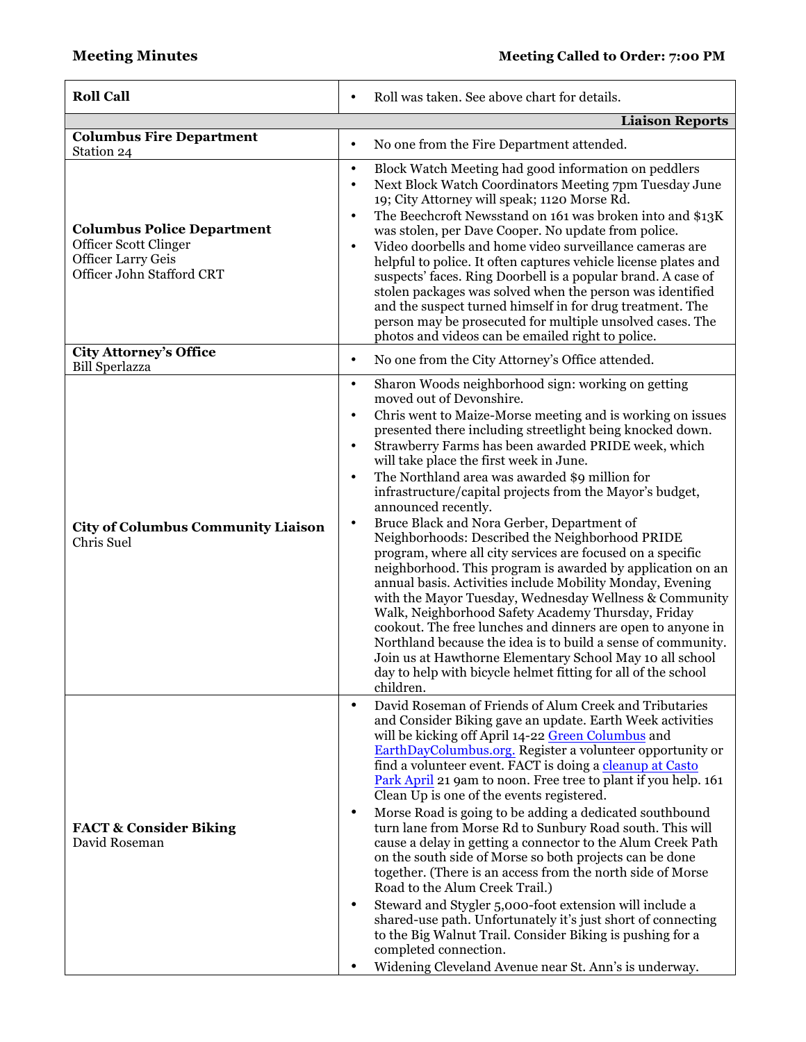| Roll was taken. See above chart for details.<br>$\bullet$                                                                                                                                                                                                                                                                                                                                                                                                                                                                                                                                                                                                                                                                                                                                                                                                                                                                                                                                                                                                                                                                                                                                            |  |  |
|------------------------------------------------------------------------------------------------------------------------------------------------------------------------------------------------------------------------------------------------------------------------------------------------------------------------------------------------------------------------------------------------------------------------------------------------------------------------------------------------------------------------------------------------------------------------------------------------------------------------------------------------------------------------------------------------------------------------------------------------------------------------------------------------------------------------------------------------------------------------------------------------------------------------------------------------------------------------------------------------------------------------------------------------------------------------------------------------------------------------------------------------------------------------------------------------------|--|--|
| <b>Liaison Reports</b>                                                                                                                                                                                                                                                                                                                                                                                                                                                                                                                                                                                                                                                                                                                                                                                                                                                                                                                                                                                                                                                                                                                                                                               |  |  |
| No one from the Fire Department attended.<br>$\bullet$                                                                                                                                                                                                                                                                                                                                                                                                                                                                                                                                                                                                                                                                                                                                                                                                                                                                                                                                                                                                                                                                                                                                               |  |  |
| Block Watch Meeting had good information on peddlers<br>$\bullet$<br>Next Block Watch Coordinators Meeting 7pm Tuesday June<br>$\bullet$<br>19; City Attorney will speak; 1120 Morse Rd.<br>The Beechcroft Newsstand on 161 was broken into and \$13K<br>$\bullet$<br>was stolen, per Dave Cooper. No update from police.<br>Video doorbells and home video surveillance cameras are<br>$\bullet$<br>helpful to police. It often captures vehicle license plates and<br>suspects' faces. Ring Doorbell is a popular brand. A case of<br>stolen packages was solved when the person was identified<br>and the suspect turned himself in for drug treatment. The<br>person may be prosecuted for multiple unsolved cases. The<br>photos and videos can be emailed right to police.                                                                                                                                                                                                                                                                                                                                                                                                                     |  |  |
| No one from the City Attorney's Office attended.<br>$\bullet$                                                                                                                                                                                                                                                                                                                                                                                                                                                                                                                                                                                                                                                                                                                                                                                                                                                                                                                                                                                                                                                                                                                                        |  |  |
| Sharon Woods neighborhood sign: working on getting<br>$\bullet$<br>moved out of Devonshire.<br>Chris went to Maize-Morse meeting and is working on issues<br>$\bullet$<br>presented there including streetlight being knocked down.<br>Strawberry Farms has been awarded PRIDE week, which<br>$\bullet$<br>will take place the first week in June.<br>The Northland area was awarded \$9 million for<br>$\bullet$<br>infrastructure/capital projects from the Mayor's budget,<br>announced recently.<br>Bruce Black and Nora Gerber, Department of<br>$\bullet$<br>Neighborhoods: Described the Neighborhood PRIDE<br>program, where all city services are focused on a specific<br>neighborhood. This program is awarded by application on an<br>annual basis. Activities include Mobility Monday, Evening<br>with the Mayor Tuesday, Wednesday Wellness & Community<br>Walk, Neighborhood Safety Academy Thursday, Friday<br>cookout. The free lunches and dinners are open to anyone in<br>Northland because the idea is to build a sense of community.<br>Join us at Hawthorne Elementary School May 10 all school<br>day to help with bicycle helmet fitting for all of the school<br>children. |  |  |
| David Roseman of Friends of Alum Creek and Tributaries<br>$\bullet$<br>and Consider Biking gave an update. Earth Week activities<br>will be kicking off April 14-22 Green Columbus and<br>EarthDayColumbus.org. Register a volunteer opportunity or<br>find a volunteer event. FACT is doing a cleanup at Casto<br>Park April 21 9am to noon. Free tree to plant if you help. 161<br>Clean Up is one of the events registered.<br>Morse Road is going to be adding a dedicated southbound<br>$\bullet$<br>turn lane from Morse Rd to Sunbury Road south. This will<br>cause a delay in getting a connector to the Alum Creek Path<br>on the south side of Morse so both projects can be done<br>together. (There is an access from the north side of Morse<br>Road to the Alum Creek Trail.)<br>Steward and Stygler 5,000-foot extension will include a<br>٠<br>shared-use path. Unfortunately it's just short of connecting<br>to the Big Walnut Trail. Consider Biking is pushing for a<br>completed connection.<br>Widening Cleveland Avenue near St. Ann's is underway.                                                                                                                          |  |  |
|                                                                                                                                                                                                                                                                                                                                                                                                                                                                                                                                                                                                                                                                                                                                                                                                                                                                                                                                                                                                                                                                                                                                                                                                      |  |  |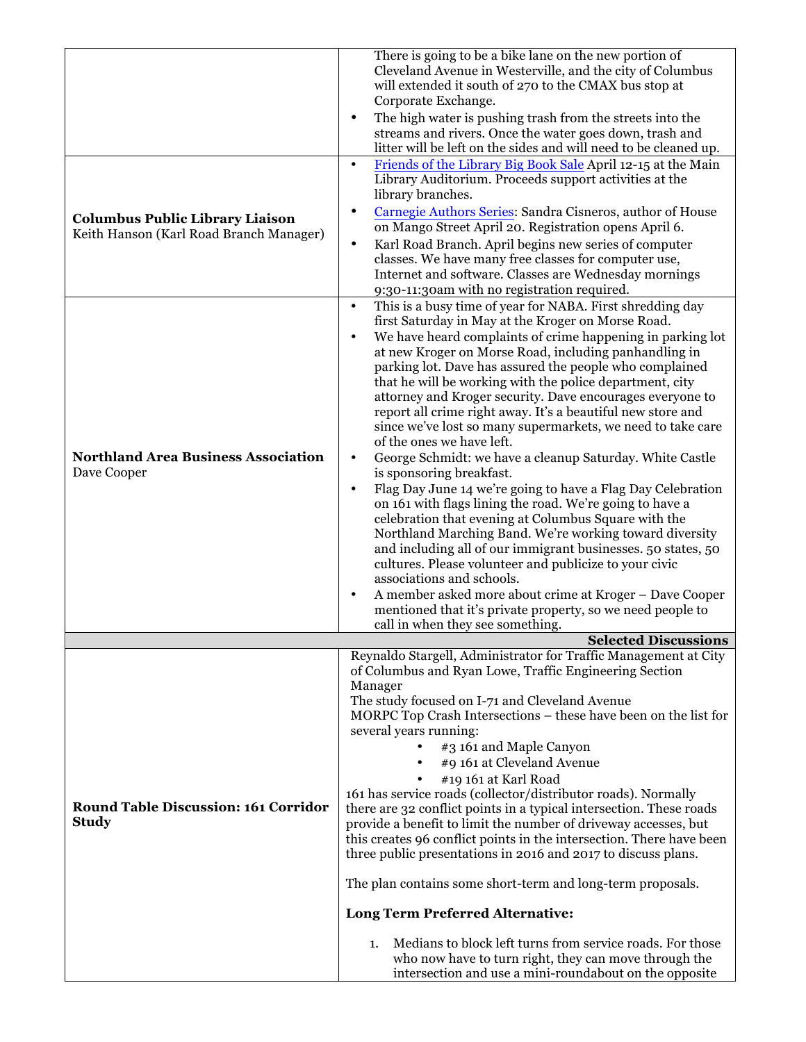|                                                                                   | There is going to be a bike lane on the new portion of<br>Cleveland Avenue in Westerville, and the city of Columbus                    |
|-----------------------------------------------------------------------------------|----------------------------------------------------------------------------------------------------------------------------------------|
|                                                                                   | will extended it south of 270 to the CMAX bus stop at<br>Corporate Exchange.                                                           |
|                                                                                   | The high water is pushing trash from the streets into the<br>٠                                                                         |
|                                                                                   | streams and rivers. Once the water goes down, trash and<br>litter will be left on the sides and will need to be cleaned up.            |
|                                                                                   | Friends of the Library Big Book Sale April 12-15 at the Main<br>$\bullet$<br>Library Auditorium. Proceeds support activities at the    |
|                                                                                   | library branches.                                                                                                                      |
| <b>Columbus Public Library Liaison</b><br>Keith Hanson (Karl Road Branch Manager) | Carnegie Authors Series: Sandra Cisneros, author of House<br>$\bullet$<br>on Mango Street April 20. Registration opens April 6.        |
|                                                                                   | Karl Road Branch. April begins new series of computer<br>$\bullet$<br>classes. We have many free classes for computer use,             |
|                                                                                   | Internet and software. Classes are Wednesday mornings                                                                                  |
|                                                                                   | 9:30-11:30am with no registration required.<br>This is a busy time of year for NABA. First shredding day<br>$\bullet$                  |
|                                                                                   | first Saturday in May at the Kroger on Morse Road.                                                                                     |
|                                                                                   | We have heard complaints of crime happening in parking lot<br>at new Kroger on Morse Road, including panhandling in                    |
|                                                                                   | parking lot. Dave has assured the people who complained<br>that he will be working with the police department, city                    |
|                                                                                   | attorney and Kroger security. Dave encourages everyone to                                                                              |
|                                                                                   | report all crime right away. It's a beautiful new store and<br>since we've lost so many supermarkets, we need to take care             |
|                                                                                   | of the ones we have left.                                                                                                              |
| <b>Northland Area Business Association</b><br>Dave Cooper                         | George Schmidt: we have a cleanup Saturday. White Castle<br>٠<br>is sponsoring breakfast.                                              |
|                                                                                   | Flag Day June 14 we're going to have a Flag Day Celebration<br>$\bullet$                                                               |
|                                                                                   | on 161 with flags lining the road. We're going to have a<br>celebration that evening at Columbus Square with the                       |
|                                                                                   | Northland Marching Band. We're working toward diversity                                                                                |
|                                                                                   | and including all of our immigrant businesses. 50 states, 50<br>cultures. Please volunteer and publicize to your civic                 |
|                                                                                   | associations and schools.<br>A member asked more about crime at Kroger - Dave Cooper<br>$\bullet$                                      |
|                                                                                   | mentioned that it's private property, so we need people to                                                                             |
|                                                                                   | call in when they see something.<br><b>Selected Discussions</b>                                                                        |
|                                                                                   | Reynaldo Stargell, Administrator for Traffic Management at City                                                                        |
|                                                                                   | of Columbus and Ryan Lowe, Traffic Engineering Section<br>Manager                                                                      |
|                                                                                   | The study focused on I-71 and Cleveland Avenue                                                                                         |
|                                                                                   | MORPC Top Crash Intersections – these have been on the list for<br>several years running:                                              |
|                                                                                   | #3 161 and Maple Canyon<br>$\bullet$                                                                                                   |
|                                                                                   | #9 161 at Cleveland Avenue<br>#19 161 at Karl Road                                                                                     |
|                                                                                   | 161 has service roads (collector/distributor roads). Normally                                                                          |
| <b>Round Table Discussion: 161 Corridor</b><br><b>Study</b>                       | there are 32 conflict points in a typical intersection. These roads<br>provide a benefit to limit the number of driveway accesses, but |
|                                                                                   | this creates 96 conflict points in the intersection. There have been                                                                   |
|                                                                                   | three public presentations in 2016 and 2017 to discuss plans.<br>The plan contains some short-term and long-term proposals.            |
|                                                                                   |                                                                                                                                        |
|                                                                                   | <b>Long Term Preferred Alternative:</b>                                                                                                |
|                                                                                   | Medians to block left turns from service roads. For those<br>1.                                                                        |
|                                                                                   | who now have to turn right, they can move through the<br>intersection and use a mini-roundabout on the opposite                        |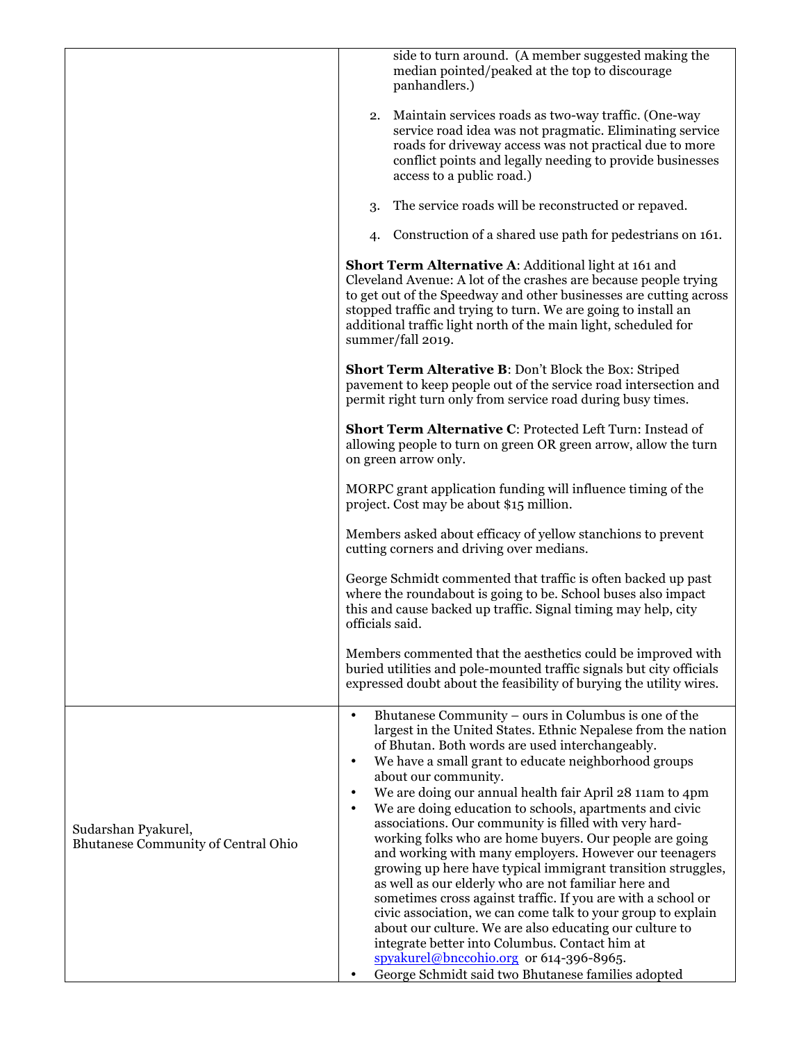|                                                                   | side to turn around. (A member suggested making the<br>median pointed/peaked at the top to discourage<br>panhandlers.)                                                                                                                                                                                                                                                                                                                                                                                                                                                                                                                                                                                                                                                                                                                                                                                                                                                                                                                                                                  |
|-------------------------------------------------------------------|-----------------------------------------------------------------------------------------------------------------------------------------------------------------------------------------------------------------------------------------------------------------------------------------------------------------------------------------------------------------------------------------------------------------------------------------------------------------------------------------------------------------------------------------------------------------------------------------------------------------------------------------------------------------------------------------------------------------------------------------------------------------------------------------------------------------------------------------------------------------------------------------------------------------------------------------------------------------------------------------------------------------------------------------------------------------------------------------|
|                                                                   | Maintain services roads as two-way traffic. (One-way<br>2.<br>service road idea was not pragmatic. Eliminating service<br>roads for driveway access was not practical due to more<br>conflict points and legally needing to provide businesses<br>access to a public road.)                                                                                                                                                                                                                                                                                                                                                                                                                                                                                                                                                                                                                                                                                                                                                                                                             |
|                                                                   | The service roads will be reconstructed or repaved.<br>3.                                                                                                                                                                                                                                                                                                                                                                                                                                                                                                                                                                                                                                                                                                                                                                                                                                                                                                                                                                                                                               |
|                                                                   | Construction of a shared use path for pedestrians on 161.<br>4.                                                                                                                                                                                                                                                                                                                                                                                                                                                                                                                                                                                                                                                                                                                                                                                                                                                                                                                                                                                                                         |
|                                                                   | <b>Short Term Alternative A: Additional light at 161 and</b><br>Cleveland Avenue: A lot of the crashes are because people trying<br>to get out of the Speedway and other businesses are cutting across<br>stopped traffic and trying to turn. We are going to install an<br>additional traffic light north of the main light, scheduled for<br>summer/fall 2019.                                                                                                                                                                                                                                                                                                                                                                                                                                                                                                                                                                                                                                                                                                                        |
|                                                                   | <b>Short Term Alterative B: Don't Block the Box: Striped</b><br>pavement to keep people out of the service road intersection and<br>permit right turn only from service road during busy times.                                                                                                                                                                                                                                                                                                                                                                                                                                                                                                                                                                                                                                                                                                                                                                                                                                                                                         |
|                                                                   | Short Term Alternative C: Protected Left Turn: Instead of<br>allowing people to turn on green OR green arrow, allow the turn<br>on green arrow only.                                                                                                                                                                                                                                                                                                                                                                                                                                                                                                                                                                                                                                                                                                                                                                                                                                                                                                                                    |
|                                                                   | MORPC grant application funding will influence timing of the<br>project. Cost may be about \$15 million.                                                                                                                                                                                                                                                                                                                                                                                                                                                                                                                                                                                                                                                                                                                                                                                                                                                                                                                                                                                |
|                                                                   | Members asked about efficacy of yellow stanchions to prevent<br>cutting corners and driving over medians.                                                                                                                                                                                                                                                                                                                                                                                                                                                                                                                                                                                                                                                                                                                                                                                                                                                                                                                                                                               |
|                                                                   | George Schmidt commented that traffic is often backed up past<br>where the roundabout is going to be. School buses also impact<br>this and cause backed up traffic. Signal timing may help, city<br>officials said.                                                                                                                                                                                                                                                                                                                                                                                                                                                                                                                                                                                                                                                                                                                                                                                                                                                                     |
|                                                                   | Members commented that the aesthetics could be improved with<br>buried utilities and pole-mounted traffic signals but city officials<br>expressed doubt about the feasibility of burying the utility wires.                                                                                                                                                                                                                                                                                                                                                                                                                                                                                                                                                                                                                                                                                                                                                                                                                                                                             |
| Sudarshan Pyakurel,<br><b>Bhutanese Community of Central Ohio</b> | Bhutanese Community – ours in Columbus is one of the<br>$\bullet$<br>largest in the United States. Ethnic Nepalese from the nation<br>of Bhutan. Both words are used interchangeably.<br>We have a small grant to educate neighborhood groups<br>$\bullet$<br>about our community.<br>We are doing our annual health fair April 28 11am to 4pm<br>$\bullet$<br>We are doing education to schools, apartments and civic<br>$\bullet$<br>associations. Our community is filled with very hard-<br>working folks who are home buyers. Our people are going<br>and working with many employers. However our teenagers<br>growing up here have typical immigrant transition struggles,<br>as well as our elderly who are not familiar here and<br>sometimes cross against traffic. If you are with a school or<br>civic association, we can come talk to your group to explain<br>about our culture. We are also educating our culture to<br>integrate better into Columbus. Contact him at<br>spyakurel@bnccohio.org or 614-396-8965.<br>George Schmidt said two Bhutanese families adopted |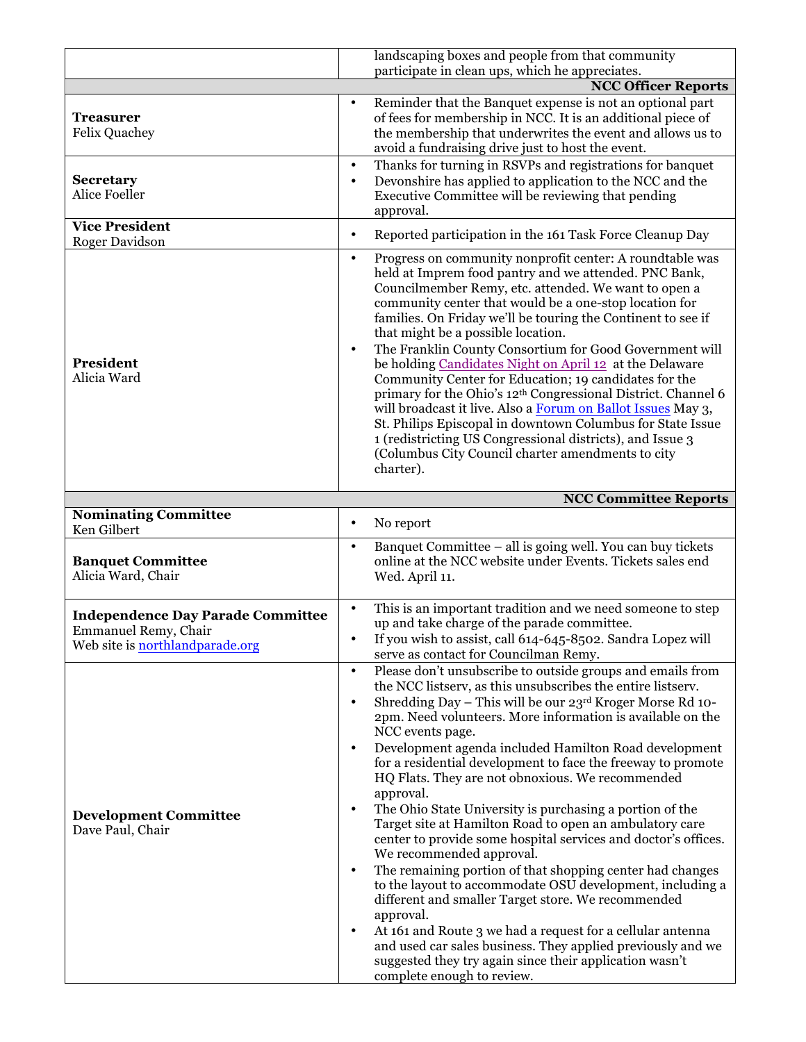|                                                                                                            | landscaping boxes and people from that community                                                                                                                                                                                                                                                                                                                                                                                                                                                                                                                                                                                                                                                                                                                                                                                                                                                                                                                                                            |
|------------------------------------------------------------------------------------------------------------|-------------------------------------------------------------------------------------------------------------------------------------------------------------------------------------------------------------------------------------------------------------------------------------------------------------------------------------------------------------------------------------------------------------------------------------------------------------------------------------------------------------------------------------------------------------------------------------------------------------------------------------------------------------------------------------------------------------------------------------------------------------------------------------------------------------------------------------------------------------------------------------------------------------------------------------------------------------------------------------------------------------|
|                                                                                                            | participate in clean ups, which he appreciates.                                                                                                                                                                                                                                                                                                                                                                                                                                                                                                                                                                                                                                                                                                                                                                                                                                                                                                                                                             |
|                                                                                                            | <b>NCC Officer Reports</b>                                                                                                                                                                                                                                                                                                                                                                                                                                                                                                                                                                                                                                                                                                                                                                                                                                                                                                                                                                                  |
| <b>Treasurer</b><br><b>Felix Quachey</b>                                                                   | Reminder that the Banquet expense is not an optional part<br>of fees for membership in NCC. It is an additional piece of<br>the membership that underwrites the event and allows us to<br>avoid a fundraising drive just to host the event.                                                                                                                                                                                                                                                                                                                                                                                                                                                                                                                                                                                                                                                                                                                                                                 |
| <b>Secretary</b><br><b>Alice Foeller</b>                                                                   | Thanks for turning in RSVPs and registrations for banquet<br>$\bullet$<br>Devonshire has applied to application to the NCC and the<br>$\bullet$<br>Executive Committee will be reviewing that pending<br>approval.                                                                                                                                                                                                                                                                                                                                                                                                                                                                                                                                                                                                                                                                                                                                                                                          |
| <b>Vice President</b>                                                                                      | Reported participation in the 161 Task Force Cleanup Day<br>$\bullet$                                                                                                                                                                                                                                                                                                                                                                                                                                                                                                                                                                                                                                                                                                                                                                                                                                                                                                                                       |
| <b>Roger Davidson</b>                                                                                      | $\bullet$                                                                                                                                                                                                                                                                                                                                                                                                                                                                                                                                                                                                                                                                                                                                                                                                                                                                                                                                                                                                   |
| President<br>Alicia Ward                                                                                   | Progress on community nonprofit center: A roundtable was<br>held at Imprem food pantry and we attended. PNC Bank,<br>Councilmember Remy, etc. attended. We want to open a<br>community center that would be a one-stop location for<br>families. On Friday we'll be touring the Continent to see if<br>that might be a possible location.<br>The Franklin County Consortium for Good Government will<br>$\bullet$<br>be holding Candidates Night on April 12 at the Delaware<br>Community Center for Education; 19 candidates for the<br>primary for the Ohio's 12th Congressional District. Channel 6<br>will broadcast it live. Also a Forum on Ballot Issues May 3,<br>St. Philips Episcopal in downtown Columbus for State Issue<br>1 (redistricting US Congressional districts), and Issue 3<br>(Columbus City Council charter amendments to city<br>charter).                                                                                                                                         |
|                                                                                                            | <b>NCC Committee Reports</b>                                                                                                                                                                                                                                                                                                                                                                                                                                                                                                                                                                                                                                                                                                                                                                                                                                                                                                                                                                                |
| <b>Nominating Committee</b><br>Ken Gilbert                                                                 | No report<br>$\bullet$                                                                                                                                                                                                                                                                                                                                                                                                                                                                                                                                                                                                                                                                                                                                                                                                                                                                                                                                                                                      |
| <b>Banquet Committee</b><br>Alicia Ward, Chair                                                             | Banquet Committee - all is going well. You can buy tickets<br>$\bullet$<br>online at the NCC website under Events. Tickets sales end<br>Wed. April 11.                                                                                                                                                                                                                                                                                                                                                                                                                                                                                                                                                                                                                                                                                                                                                                                                                                                      |
| <b>Independence Day Parade Committee</b><br><b>Emmanuel Remy, Chair</b><br>Web site is northlandparade.org | This is an important tradition and we need someone to step<br>$\bullet$<br>up and take charge of the parade committee.<br>If you wish to assist, call 614-645-8502. Sandra Lopez will<br>serve as contact for Councilman Remy.                                                                                                                                                                                                                                                                                                                                                                                                                                                                                                                                                                                                                                                                                                                                                                              |
| <b>Development Committee</b><br>Dave Paul, Chair                                                           | Please don't unsubscribe to outside groups and emails from<br>$\bullet$<br>the NCC listserv, as this unsubscribes the entire listserv.<br>Shredding Day - This will be our 23rd Kroger Morse Rd 10-<br>٠<br>2pm. Need volunteers. More information is available on the<br>NCC events page.<br>Development agenda included Hamilton Road development<br>$\bullet$<br>for a residential development to face the freeway to promote<br>HQ Flats. They are not obnoxious. We recommended<br>approval.<br>The Ohio State University is purchasing a portion of the<br>$\bullet$<br>Target site at Hamilton Road to open an ambulatory care<br>center to provide some hospital services and doctor's offices.<br>We recommended approval.<br>The remaining portion of that shopping center had changes<br>$\bullet$<br>to the layout to accommodate OSU development, including a<br>different and smaller Target store. We recommended<br>approval.<br>At 161 and Route 3 we had a request for a cellular antenna |